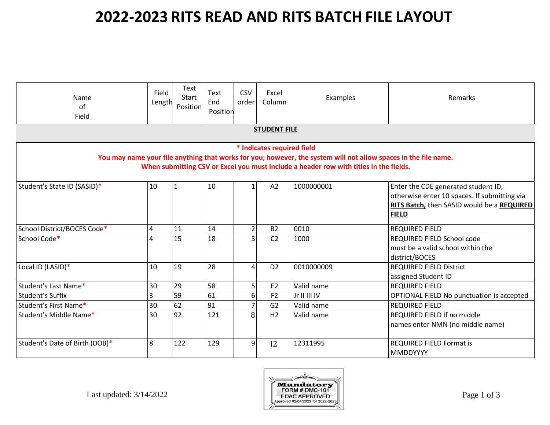| Name<br>of<br>Field            | Field<br>Length | Text<br>Start<br>Position | Text<br>End<br>Position | <b>CSV</b><br>order | Excel<br>Column            | Examples                                                                                                                                                                                                 | Remarks                                                                                                                                           |
|--------------------------------|-----------------|---------------------------|-------------------------|---------------------|----------------------------|----------------------------------------------------------------------------------------------------------------------------------------------------------------------------------------------------------|---------------------------------------------------------------------------------------------------------------------------------------------------|
|                                |                 |                           |                         |                     | <b>STUDENT FILE</b>        |                                                                                                                                                                                                          |                                                                                                                                                   |
|                                |                 |                           |                         |                     | * Indicates required field | You may name your file anything that works for you; however, the system will not allow spaces in the file name.<br>When submitting CSV or Excel you must include a header row with titles in the fields. |                                                                                                                                                   |
| Student's State ID (SASID)*    | 10              | 1                         | 10                      | 1                   | A2                         | 1000000001                                                                                                                                                                                               | Enter the CDE generated student ID,<br>otherwise enter 10 spaces. If submitting via<br>RITS Batch, then SASID would be a REQUIRED<br><b>FIELD</b> |
| School District/BOCES Code*    | 4               | 11                        | 14                      | $\overline{2}$      | <b>B2</b>                  | 0010                                                                                                                                                                                                     | <b>REQUIRED FIELD</b>                                                                                                                             |
| School Code*                   | 4               | 15                        | 18                      | $\overline{3}$      | C <sub>2</sub>             | 1000                                                                                                                                                                                                     | REQUIRED FIELD School code<br>must be a valid school within the<br>district/BOCES                                                                 |
| Local ID (LASID)*              | 10              | 19                        | 28                      | $\overline{a}$      | D <sub>2</sub>             | 0010000009                                                                                                                                                                                               | <b>REQUIRED FIELD District</b><br>assigned Student ID                                                                                             |
| Student's Last Name*           | 30              | 29                        | 58                      | 5 <sub>l</sub>      | E2                         | Valid name                                                                                                                                                                                               | <b>REQUIRED FIELD</b>                                                                                                                             |
| Student's Suffix               | 3               | 59                        | 61                      | $6 \mid$            | F <sub>2</sub>             | Jr II III IV                                                                                                                                                                                             | OPTIONAL FIELD No punctuation is accepted                                                                                                         |
| Student's First Name*          | 30              | 62                        | 91                      | $\overline{7}$      | G2                         | Valid name                                                                                                                                                                                               | <b>REQUIRED FIELD</b>                                                                                                                             |
| Student's Middle Name*         | 30              | 92                        | 121                     | 8                   | H2                         | Valid name                                                                                                                                                                                               | REQUIRED FIELD If no middle<br>names enter NMN (no middle name)                                                                                   |
| Student's Date of Birth (DOB)* | 8               | 122                       | 129                     | 9                   | 12                         | 12311995                                                                                                                                                                                                 | <b>REQUIRED FIELD Format is</b><br><b>MMDDYYYY</b>                                                                                                |

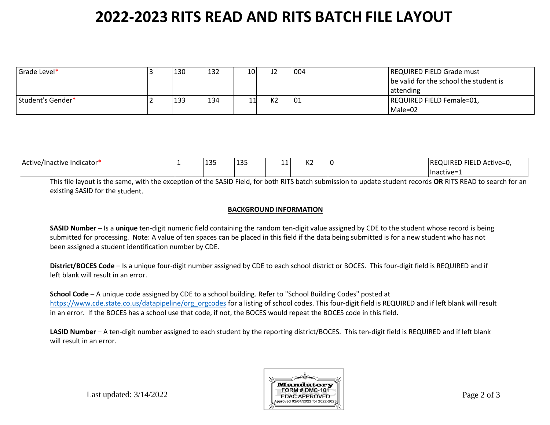| Grade Level*      | 130 | 132 | 10I | רו             | 004 | <b>REQUIRED FIELD Grade must</b><br>be valid for the school the student is<br><b>l</b> attending |
|-------------------|-----|-----|-----|----------------|-----|--------------------------------------------------------------------------------------------------|
| Student's Gender* | 133 | 134 |     | K <sub>2</sub> | 01  | REQUIRED FIELD Female=01,<br>Male=02                                                             |

| Active/Inactive Indicator* | 1つ口<br>--- | $\sim$<br>-- | -- | ריו<br>NZ | . | ) FIELD Active=0,<br><b>IREQUIRED</b> |
|----------------------------|------------|--------------|----|-----------|---|---------------------------------------|
|                            |            |              |    |           |   | ⊥Inactive=1                           |

This file layout is the same, with the exception of the SASID Field, for both RITS batch submission to update student records **OR** RITS READ to search for an existing SASID for the student.

#### **BACKGROUND INFORMATION**

**SASID Number** – Is a **unique** ten-digit numeric field containing the random ten-digit value assigned by CDE to the student whose record is being submitted for processing. Note: A value of ten spaces can be placed in this field if the data being submitted is for a new student who has not been assigned a student identification number by CDE.

**District/BOCES Code** – Is a unique four-digit number assigned by CDE to each school district or BOCES. This four-digit field is REQUIRED and if left blank will result in an error.

**School Code** – A unique code assigned by CDE to a school building. Refer to "School Building Codes" posted at [https://www.cde.state.co.us/datapipeline/org\\_orgcodes](https://www.cde.state.co.us/datapipeline/org_orgcodes) for a listing of school codes. This four-digit field is REQUIRED and if left blank will result in an error. If the BOCES has a school use that code, if not, the BOCES would repeat the BOCES code in this field.

**LASID Number** – A ten-digit number assigned to each student by the reporting district/BOCES. This ten-digit field is REQUIRED and if left blank will result in an error.



Last updated: 3/14/2022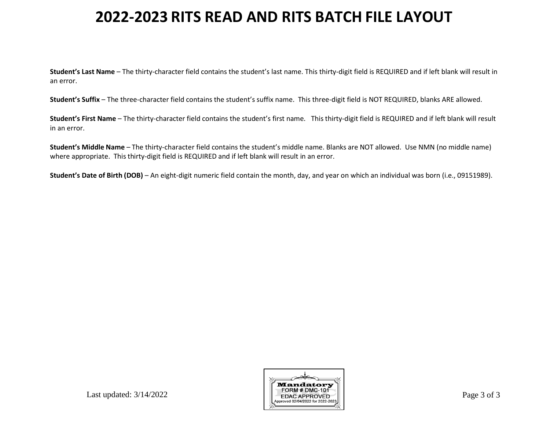**Student's Last Name** – The thirty-character field contains the student's last name. This thirty-digit field is REQUIRED and if left blank will result in an error.

**Student's Suffix** – The three-character field contains the student's suffix name. This three-digit field is NOT REQUIRED, blanks ARE allowed.

**Student's First Name** – The thirty-character field contains the student's first name. This thirty-digit field is REQUIRED and if left blank will result in an error.

**Student's Middle Name** – The thirty-character field contains the student's middle name. Blanks are NOT allowed. Use NMN (no middle name) where appropriate. This thirty-digit field is REQUIRED and if left blank will result in an error.

**Student's Date of Birth (DOB)** – An eight-digit numeric field contain the month, day, and year on which an individual was born (i.e., 09151989).